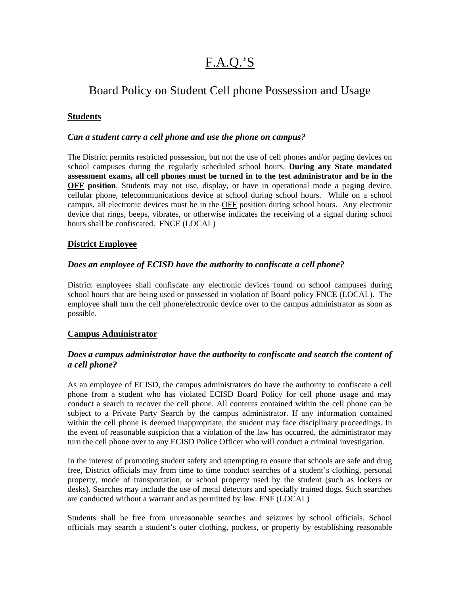# F.A.Q.'S

# Board Policy on Student Cell phone Possession and Usage

# **Students**

### *Can a student carry a cell phone and use the phone on campus?*

The District permits restricted possession, but not the use of cell phones and/or paging devices on school campuses during the regularly scheduled school hours. **During any State mandated assessment exams, all cell phones must be turned in to the test administrator and be in the OFF position**. Students may not use, display, or have in operational mode a paging device, cellular phone, telecommunications device at school during school hours. While on a school campus, all electronic devices must be in the OFF position during school hours. Any electronic device that rings, beeps, vibrates, or otherwise indicates the receiving of a signal during school hours shall be confiscated. FNCE (LOCAL)

### **District Employee**

### *Does an employee of ECISD have the authority to confiscate a cell phone?*

District employees shall confiscate any electronic devices found on school campuses during school hours that are being used or possessed in violation of Board policy FNCE (LOCAL). The employee shall turn the cell phone/electronic device over to the campus administrator as soon as possible.

# **Campus Administrator**

# *Does a campus administrator have the authority to confiscate and search the content of a cell phone?*

As an employee of ECISD, the campus administrators do have the authority to confiscate a cell phone from a student who has violated ECISD Board Policy for cell phone usage and may conduct a search to recover the cell phone. All contents contained within the cell phone can be subject to a Private Party Search by the campus administrator. If any information contained within the cell phone is deemed inappropriate, the student may face disciplinary proceedings. In the event of reasonable suspicion that a violation of the law has occurred, the administrator may turn the cell phone over to any ECISD Police Officer who will conduct a criminal investigation.

In the interest of promoting student safety and attempting to ensure that schools are safe and drug free, District officials may from time to time conduct searches of a student's clothing, personal property, mode of transportation, or school property used by the student (such as lockers or desks). Searches may include the use of metal detectors and specially trained dogs. Such searches are conducted without a warrant and as permitted by law. FNF (LOCAL)

Students shall be free from unreasonable searches and seizures by school officials. School officials may search a student's outer clothing, pockets, or property by establishing reasonable